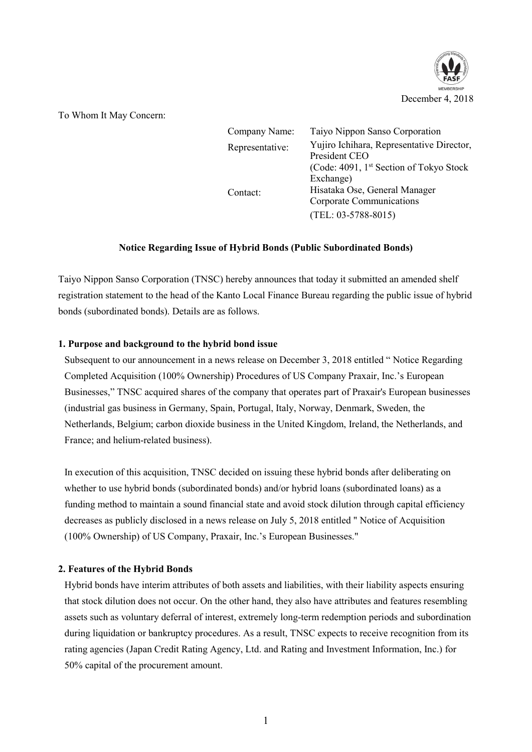

To Whom It May Concern:

| Company Name:   | Taiyo Nippon Sanso Corporation                                                                                     |
|-----------------|--------------------------------------------------------------------------------------------------------------------|
| Representative: | Yujiro Ichihara, Representative Director,<br>President CEO<br>(Code: 4091, 1 <sup>st</sup> Section of Tokyo Stock) |
| Contact:        | Exchange)<br>Hisataka Ose, General Manager<br>Corporate Communications<br>$(TEL: 03-5788-8015)$                    |

## **Notice Regarding Issue of Hybrid Bonds (Public Subordinated Bonds)**

Taiyo Nippon Sanso Corporation (TNSC) hereby announces that today it submitted an amended shelf registration statement to the head of the Kanto Local Finance Bureau regarding the public issue of hybrid bonds (subordinated bonds). Details are as follows.

## **1. Purpose and background to the hybrid bond issue**

Subsequent to our announcement in a news release on December 3, 2018 entitled " Notice Regarding Completed Acquisition (100% Ownership) Procedures of US Company Praxair, Inc.'s European Businesses," TNSC acquired shares of the company that operates part of Praxair's European businesses (industrial gas business in Germany, Spain, Portugal, Italy, Norway, Denmark, Sweden, the Netherlands, Belgium; carbon dioxide business in the United Kingdom, Ireland, the Netherlands, and France; and helium-related business).

In execution of this acquisition, TNSC decided on issuing these hybrid bonds after deliberating on whether to use hybrid bonds (subordinated bonds) and/or hybrid loans (subordinated loans) as a funding method to maintain a sound financial state and avoid stock dilution through capital efficiency decreases as publicly disclosed in a news release on July 5, 2018 entitled " Notice of Acquisition (100% Ownership) of US Company, Praxair, Inc.'s European Businesses."

## **2. Features of the Hybrid Bonds**

Hybrid bonds have interim attributes of both assets and liabilities, with their liability aspects ensuring that stock dilution does not occur. On the other hand, they also have attributes and features resembling assets such as voluntary deferral of interest, extremely long-term redemption periods and subordination during liquidation or bankruptcy procedures. As a result, TNSC expects to receive recognition from its rating agencies (Japan Credit Rating Agency, Ltd. and Rating and Investment Information, Inc.) for 50% capital of the procurement amount.